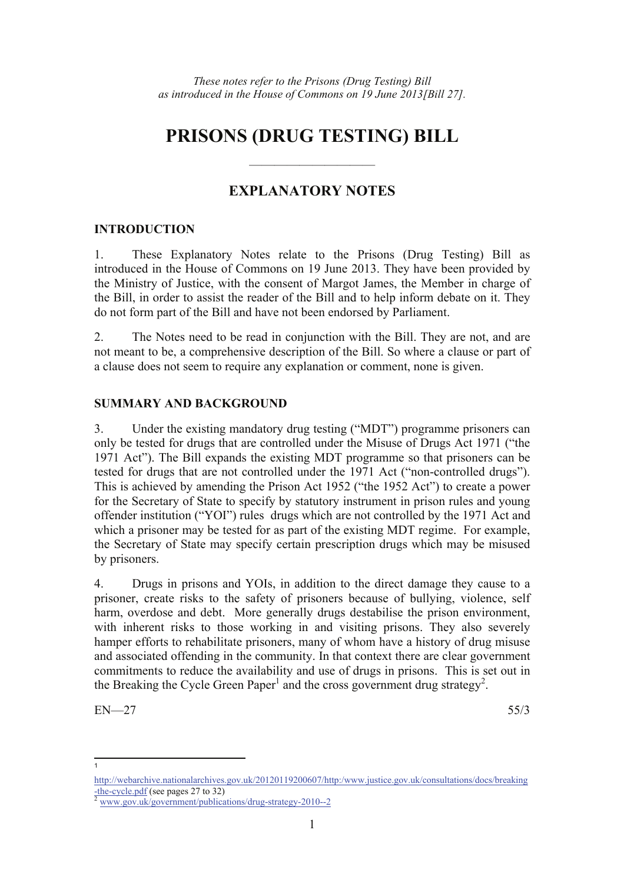# **PRISONS (DRUG TESTING) BILL**

### **EXPLANATORY NOTES**

——————————

#### **INTRODUCTION**

1. These Explanatory Notes relate to the Prisons (Drug Testing) Bill as introduced in the House of Commons on 19 June 2013. They have been provided by the Ministry of Justice, with the consent of Margot James, the Member in charge of the Bill, in order to assist the reader of the Bill and to help inform debate on it. They do not form part of the Bill and have not been endorsed by Parliament.

2. The Notes need to be read in conjunction with the Bill. They are not, and are not meant to be, a comprehensive description of the Bill. So where a clause or part of a clause does not seem to require any explanation or comment, none is given.

#### **SUMMARY AND BACKGROUND**

3. Under the existing mandatory drug testing ("MDT") programme prisoners can only be tested for drugs that are controlled under the Misuse of Drugs Act 1971 ("the 1971 Act"). The Bill expands the existing MDT programme so that prisoners can be tested for drugs that are not controlled under the 1971 Act ("non-controlled drugs"). This is achieved by amending the Prison Act 1952 ("the 1952 Act") to create a power for the Secretary of State to specify by statutory instrument in prison rules and young offender institution ("YOI") rules drugs which are not controlled by the 1971 Act and which a prisoner may be tested for as part of the existing MDT regime. For example, the Secretary of State may specify certain prescription drugs which may be misused by prisoners.

4. Drugs in prisons and YOIs, in addition to the direct damage they cause to a prisoner, create risks to the safety of prisoners because of bullying, violence, self harm, overdose and debt. More generally drugs destabilise the prison environment, with inherent risks to those working in and visiting prisons. They also severely hamper efforts to rehabilitate prisoners, many of whom have a history of drug misuse and associated offending in the community. In that context there are clear government commitments to reduce the availability and use of drugs in prisons. This is set out in the Breaking the Cycle Green Paper<sup>1</sup> and the cross government drug strategy<sup>2</sup>.

 $EN-27$  55/3

 $\overline{a}$ 1

http://webarchive.nationalarchives.gov.uk/20120119200607/http:/www.justice.gov.uk/consultations/docs/breaking  $\frac{1}{2}$ <br> $\frac{1}{2}$  www.gov.uk/government/publications/drug-strategy-2010--2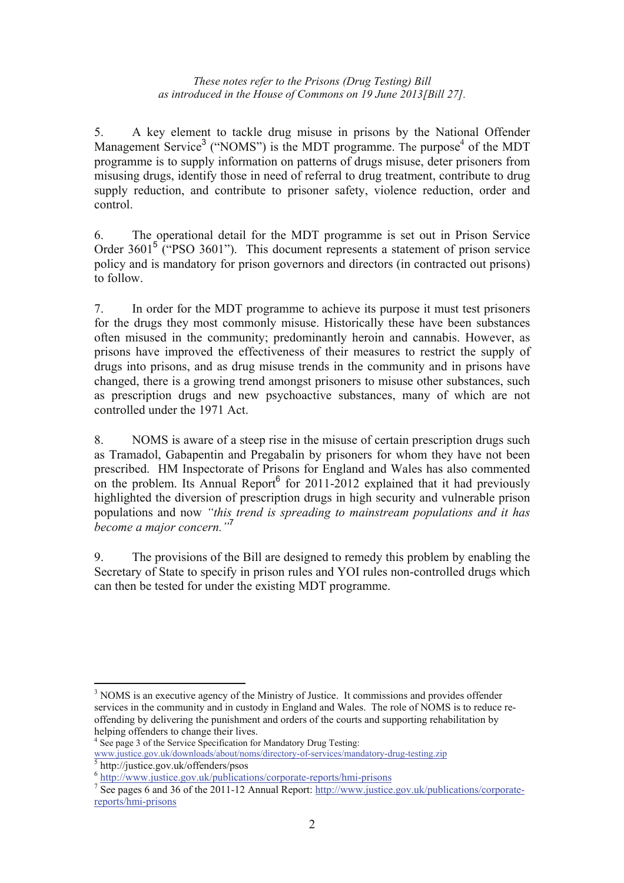#### *These notes refer to the Prisons (Drug Testing) Bill as introduced in the House of Commons on 19 June 2013[Bill 27].*

5. A key element to tackle drug misuse in prisons by the National Offender Management Service<sup>3</sup> ("NOMS") is the MDT programme. The purpose<sup>4</sup> of the MDT programme is to supply information on patterns of drugs misuse, deter prisoners from misusing drugs, identify those in need of referral to drug treatment, contribute to drug supply reduction, and contribute to prisoner safety, violence reduction, order and control.

6. The operational detail for the MDT programme is set out in Prison Service Order 3601<sup>5</sup> ("PSO 3601"). This document represents a statement of prison service policy and is mandatory for prison governors and directors (in contracted out prisons) to follow.

7. In order for the MDT programme to achieve its purpose it must test prisoners for the drugs they most commonly misuse. Historically these have been substances often misused in the community; predominantly heroin and cannabis. However, as prisons have improved the effectiveness of their measures to restrict the supply of drugs into prisons, and as drug misuse trends in the community and in prisons have changed, there is a growing trend amongst prisoners to misuse other substances, such as prescription drugs and new psychoactive substances, many of which are not controlled under the 1971 Act.

8. NOMS is aware of a steep rise in the misuse of certain prescription drugs such as Tramadol, Gabapentin and Pregabalin by prisoners for whom they have not been prescribed. HM Inspectorate of Prisons for England and Wales has also commented on the problem. Its Annual Report $6$  for 2011-2012 explained that it had previously highlighted the diversion of prescription drugs in high security and vulnerable prison populations and now *"this trend is spreading to mainstream populations and it has become a major concern."*<sup>7</sup>

9. The provisions of the Bill are designed to remedy this problem by enabling the Secretary of State to specify in prison rules and YOI rules non-controlled drugs which can then be tested for under the existing MDT programme.

 $\overline{a}$ 

<sup>&</sup>lt;sup>3</sup> NOMS is an executive agency of the Ministry of Justice. It commissions and provides offender services in the community and in custody in England and Wales. The role of NOMS is to reduce reoffending by delivering the punishment and orders of the courts and supporting rehabilitation by helping offenders to change their lives.

<sup>&</sup>lt;sup>4</sup> See page 3 of the Service Specification for Mandatory Drug Testing:

www.justice.gov.uk/downloads/about/noms/directory-of-services/mandatory-drug-testing.zip

http://justice.gov.uk/offenders/psos

<sup>&</sup>lt;sup>6</sup> http://www.justice.gov.uk/publications/corporate-reports/hmi-prisons

<sup>&</sup>lt;sup>7</sup> See pages 6 and 36 of the 2011-12 Annual Report: http://www.justice.gov.uk/publications/corporatereports/hmi-prisons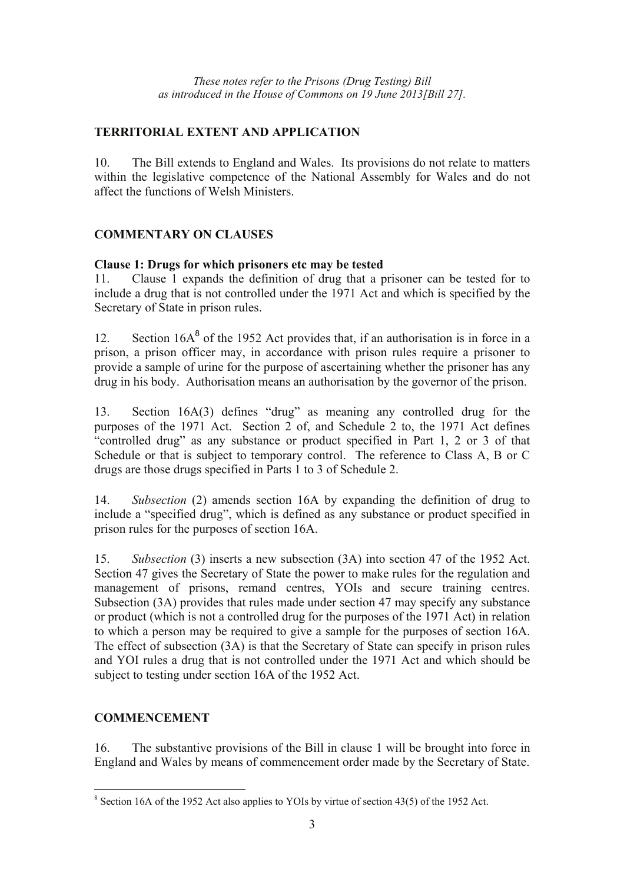#### **TERRITORIAL EXTENT AND APPLICATION**

10. The Bill extends to England and Wales. Its provisions do not relate to matters within the legislative competence of the National Assembly for Wales and do not affect the functions of Welsh Ministers.

### **COMMENTARY ON CLAUSES**

#### **Clause 1: Drugs for which prisoners etc may be tested**

11. Clause 1 expands the definition of drug that a prisoner can be tested for to include a drug that is not controlled under the 1971 Act and which is specified by the Secretary of State in prison rules.

12. Section  $16A<sup>8</sup>$  of the 1952 Act provides that, if an authorisation is in force in a prison, a prison officer may, in accordance with prison rules require a prisoner to provide a sample of urine for the purpose of ascertaining whether the prisoner has any drug in his body. Authorisation means an authorisation by the governor of the prison.

13. Section 16A(3) defines "drug" as meaning any controlled drug for the purposes of the 1971 Act. Section 2 of, and Schedule 2 to, the 1971 Act defines "controlled drug" as any substance or product specified in Part 1, 2 or 3 of that Schedule or that is subject to temporary control. The reference to Class A, B or C drugs are those drugs specified in Parts 1 to 3 of Schedule 2.

14. *Subsection* (2) amends section 16A by expanding the definition of drug to include a "specified drug", which is defined as any substance or product specified in prison rules for the purposes of section 16A.

15. *Subsection* (3) inserts a new subsection (3A) into section 47 of the 1952 Act. Section 47 gives the Secretary of State the power to make rules for the regulation and management of prisons, remand centres, YOIs and secure training centres. Subsection (3A) provides that rules made under section 47 may specify any substance or product (which is not a controlled drug for the purposes of the 1971 Act) in relation to which a person may be required to give a sample for the purposes of section 16A. The effect of subsection (3A) is that the Secretary of State can specify in prison rules and YOI rules a drug that is not controlled under the 1971 Act and which should be subject to testing under section 16A of the 1952 Act.

#### **COMMENCEMENT**

16. The substantive provisions of the Bill in clause 1 will be brought into force in England and Wales by means of commencement order made by the Secretary of State.

<sup>&</sup>lt;sup>8</sup> Section 16A of the 1952 Act also applies to YOIs by virtue of section 43(5) of the 1952 Act.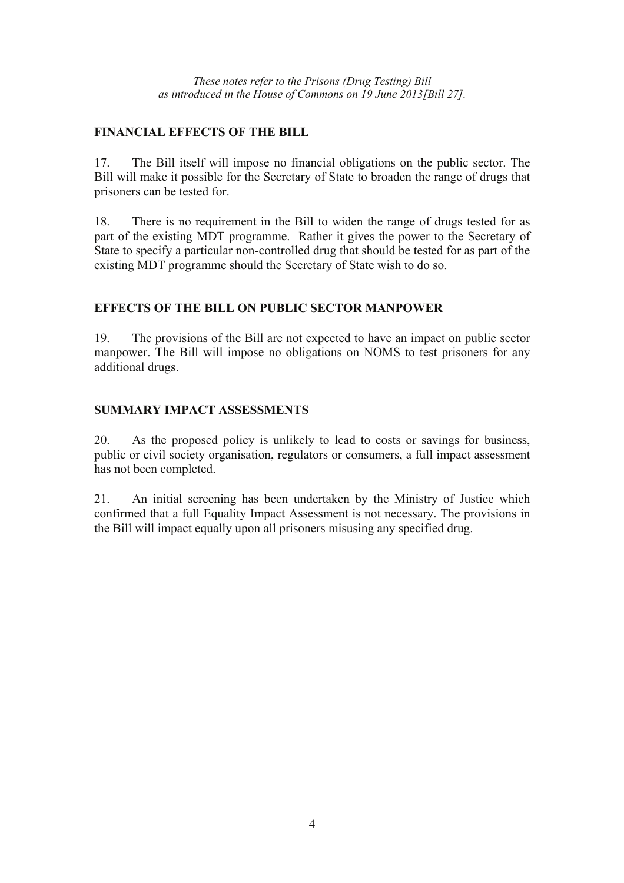*These notes refer to the Prisons (Drug Testing) Bill as introduced in the House of Commons on 19 June 2013[Bill 27].* 

#### **FINANCIAL EFFECTS OF THE BILL**

17. The Bill itself will impose no financial obligations on the public sector. The Bill will make it possible for the Secretary of State to broaden the range of drugs that prisoners can be tested for.

18. There is no requirement in the Bill to widen the range of drugs tested for as part of the existing MDT programme. Rather it gives the power to the Secretary of State to specify a particular non-controlled drug that should be tested for as part of the existing MDT programme should the Secretary of State wish to do so.

#### **EFFECTS OF THE BILL ON PUBLIC SECTOR MANPOWER**

19. The provisions of the Bill are not expected to have an impact on public sector manpower. The Bill will impose no obligations on NOMS to test prisoners for any additional drugs.

#### **SUMMARY IMPACT ASSESSMENTS**

20. As the proposed policy is unlikely to lead to costs or savings for business, public or civil society organisation, regulators or consumers, a full impact assessment has not been completed.

21. An initial screening has been undertaken by the Ministry of Justice which confirmed that a full Equality Impact Assessment is not necessary. The provisions in the Bill will impact equally upon all prisoners misusing any specified drug.